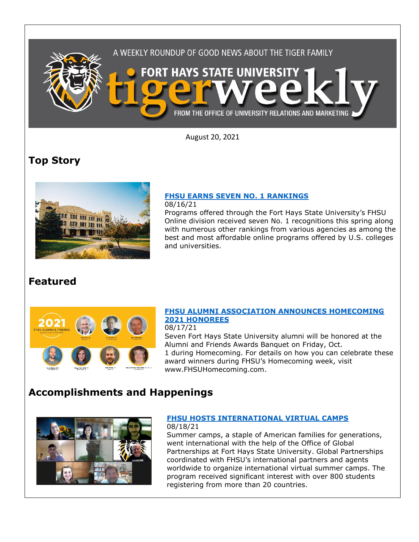

August 20, 2021

## **Top Story**



## **FHSU [EARNS SEVEN NO. 1 RANKINGS](https://fhsu.edu/news/2021/08/fhsu-earns-seven-no.-1-rankings)**

08/16/21

Programs offered through the Fort Hays State University's FHSU Online division received seven No. 1 recognitions this spring along with numerous other rankings from various agencies as among the best and most affordable online programs offered by U.S. colleges and universities.

### **Featured**



#### **[FHSU ALUMNI ASSOCIATION ANNOUNCES HOMECOMING](https://fhsu.edu/news/2021/08/fhsu-alumni-association-announces-homecoming-2021-honorees)  [2021 HONOREES](https://fhsu.edu/news/2021/08/fhsu-alumni-association-announces-homecoming-2021-honorees)**

08/17/21

Seven Fort Hays State University alumni will be honored at the Alumni and Friends Awards Banquet on Friday, Oct. 1 during Homecoming. For details on how you can celebrate these award winners during FHSU's Homecoming week, visit www.FHSUHomecoming.com.

# **Accomplishments and Happenings**



#### **FHSU [HOSTS INTERNATIONAL VIRTUAL CAMPS](https://fhsu.edu/news/2021/08/fhsu-hosts-international-virtual-camps)** 08/18/21

Summer camps, a staple of American families for generations, went international with the help of the Office of Global Partnerships at Fort Hays State University. Global Partnerships coordinated with FHSU's international partners and agents worldwide to organize international virtual summer camps. The program received significant interest with over 800 students registering from more than 20 countries.